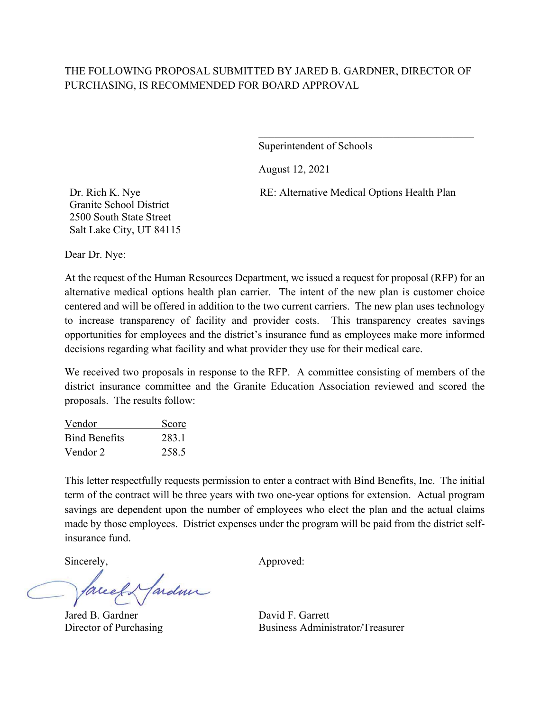### THE FOLLOWING PROPOSAL SUBMITTED BY JARED B. GARDNER, DIRECTOR OF PURCHASING, IS RECOMMENDED FOR BOARD APPROVAL

Superintendent of Schools

August 12, 2021

RE: Alternative Medical Options Health Plan

\_\_\_\_\_\_\_\_\_\_\_\_\_\_\_\_\_\_\_\_\_\_\_\_\_\_\_\_\_\_\_\_\_\_\_\_\_\_\_\_

Dr. Rich K. Nye Granite School District 2500 South State Street Salt Lake City, UT 84115

Dear Dr. Nye:

At the request of the Human Resources Department, we issued a request for proposal (RFP) for an alternative medical options health plan carrier. The intent of the new plan is customer choice centered and will be offered in addition to the two current carriers. The new plan uses technology to increase transparency of facility and provider costs. This transparency creates savings opportunities for employees and the district's insurance fund as employees make more informed decisions regarding what facility and what provider they use for their medical care.

We received two proposals in response to the RFP. A committee consisting of members of the district insurance committee and the Granite Education Association reviewed and scored the proposals. The results follow:

| Vendor               | Score |
|----------------------|-------|
| <b>Bind Benefits</b> | 283.1 |
| Vendor 2             | 258.5 |

This letter respectfully requests permission to enter a contract with Bind Benefits, Inc. The initial term of the contract will be three years with two one-year options for extension. Actual program savings are dependent upon the number of employees who elect the plan and the actual claims made by those employees. District expenses under the program will be paid from the district selfinsurance fund.

lardme

Jared B. Gardner David F. Garrett

Sincerely, Approved:

Director of Purchasing Business Administrator/Treasurer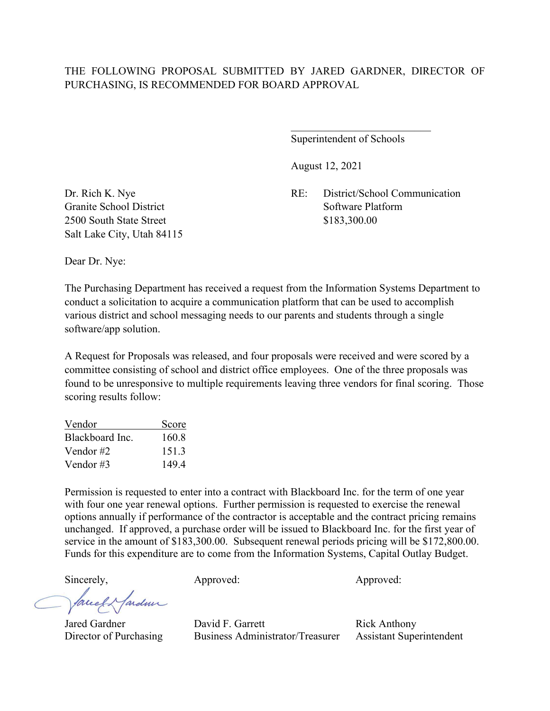Superintendent of Schools

August 12, 2021

Dr. Rich K. Nye RE: District/School Communication

Granite School District Software Platform 2500 South State Street \$183,300.00 Salt Lake City, Utah 84115

Dear Dr. Nye:

The Purchasing Department has received a request from the Information Systems Department to conduct a solicitation to acquire a communication platform that can be used to accomplish various district and school messaging needs to our parents and students through a single software/app solution.

A Request for Proposals was released, and four proposals were received and were scored by a committee consisting of school and district office employees. One of the three proposals was found to be unresponsive to multiple requirements leaving three vendors for final scoring. Those scoring results follow:

| Vendor          | Score |
|-----------------|-------|
| Blackboard Inc. | 160.8 |
| Vendor #2       | 151.3 |
| Vendor #3       | 149.4 |

Permission is requested to enter into a contract with Blackboard Inc. for the term of one year with four one year renewal options. Further permission is requested to exercise the renewal options annually if performance of the contractor is acceptable and the contract pricing remains unchanged. If approved, a purchase order will be issued to Blackboard Inc. for the first year of service in the amount of \$183,300.00. Subsequent renewal periods pricing will be \$172,800.00. Funds for this expenditure are to come from the Information Systems, Capital Outlay Budget.

fardun facel

Sincerely,  $\qquad \qquad \text{Approxed:} \qquad \qquad \text{Approxed:}$ 

Jared Gardner David F. Garrett Rick Anthony Director of Purchasing Business Administrator/Treasurer Assistant Superintendent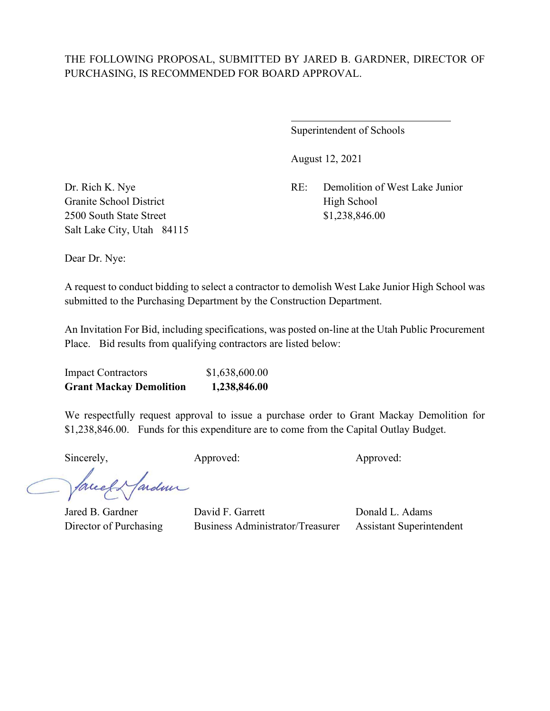## THE FOLLOWING PROPOSAL, SUBMITTED BY JARED B. GARDNER, DIRECTOR OF PURCHASING, IS RECOMMENDED FOR BOARD APPROVAL.

 $\overline{a}$ 

Superintendent of Schools

August 12, 2021

Dr. Rich K. Nye RE: Demolition of West Lake Junior

Granite School District High School 2500 South State Street \$1,238,846.00 Salt Lake City, Utah 84115

Dear Dr. Nye:

A request to conduct bidding to select a contractor to demolish West Lake Junior High School was submitted to the Purchasing Department by the Construction Department.

An Invitation For Bid, including specifications, was posted on-line at the Utah Public Procurement Place. Bid results from qualifying contractors are listed below:

| <b>Impact Contractors</b>      | \$1,638,600.00 |
|--------------------------------|----------------|
| <b>Grant Mackay Demolition</b> | 1,238,846.00   |

We respectfully request approval to issue a purchase order to Grant Mackay Demolition for \$1,238,846.00. Funds for this expenditure are to come from the Capital Outlay Budget.

Sincerely, Approved: Approved: Approved: Approved:

facely farden

Jared B. Gardner David F. Garrett Donald L. Adams Director of Purchasing Business Administrator/Treasurer Assistant Superintendent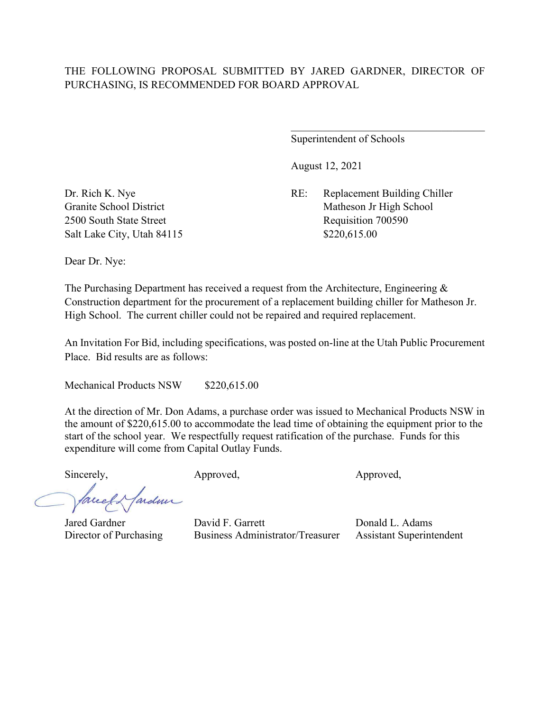### THE FOLLOWING PROPOSAL SUBMITTED BY JARED GARDNER, DIRECTOR OF PURCHASING, IS RECOMMENDED FOR BOARD APPROVAL

Superintendent of Schools

August 12, 2021

Dr. Rich K. Nye RE: Replacement Building Chiller Granite School District Matheson Jr High School 2500 South State Street Requisition 700590

Salt Lake City, Utah 84115 \$220,615.00

Dear Dr. Nye:

The Purchasing Department has received a request from the Architecture, Engineering & Construction department for the procurement of a replacement building chiller for Matheson Jr. High School. The current chiller could not be repaired and required replacement.

An Invitation For Bid, including specifications, was posted on-line at the Utah Public Procurement Place. Bid results are as follows:

Mechanical Products NSW \$220,615.00

At the direction of Mr. Don Adams, a purchase order was issued to Mechanical Products NSW in the amount of \$220,615.00 to accommodate the lead time of obtaining the equipment prior to the start of the school year. We respectfully request ratification of the purchase. Funds for this expenditure will come from Capital Outlay Funds.

Sincerely, Approved, Approved, Approved,

fardme Jacel

Jared Gardner David F. Garrett Donald L. Adams Director of Purchasing Business Administrator/Treasurer Assistant Superintendent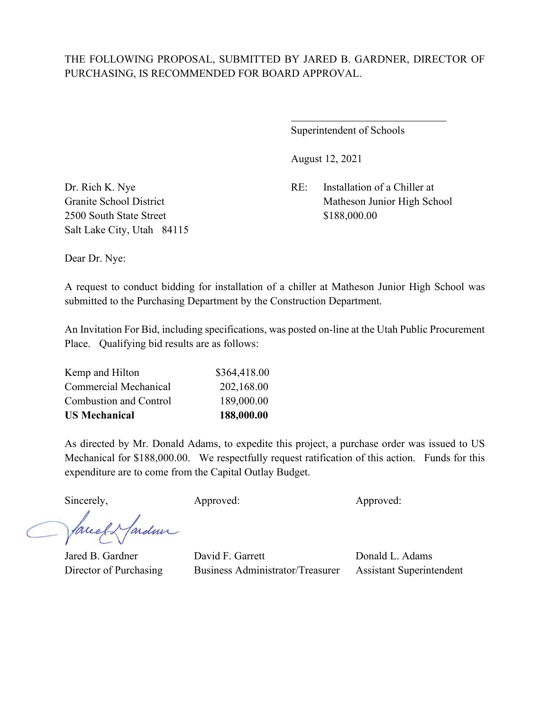### THE FOLLOWING PROPOSAL, SUBMITTED BY JARED B. GARDNER, DIRECTOR OF PURCHASING, IS RECOMMENDED FOR BOARD APPROVAL.

 $\overline{a}$ 

Superintendent of Schools

August 12, 2021

Dr. Rich K. Nye RE: Installation of a Chiller at Granite School District The Matheson Junior High School

2500 South State Street \$188,000.00 Salt Lake City, Utah 84115

Dear Dr. Nye:

A request to conduct bidding for installation of a chiller at Matheson Junior High School was submitted to the Purchasing Department by the Construction Department.

An Invitation For Bid, including specifications, was posted on-line at the Utah Public Procurement Place. Qualifying bid results are as follows:

| <b>US Mechanical</b>          | 188,000.00   |
|-------------------------------|--------------|
| <b>Combustion and Control</b> | 189,000.00   |
| Commercial Mechanical         | 202,168.00   |
| Kemp and Hilton               | \$364,418.00 |

As directed by Mr. Donald Adams, to expedite this project, a purchase order was issued to US Mechanical for \$188,000.00. We respectfully request ratification of this action. Funds for this expenditure are to come from the Capital Outlay Budget.

Sincerely, Approved: Approved: Approved: Approved:

facely farden

Jared B. Gardner David F. Garrett Donald L. Adams Director of Purchasing Business Administrator/Treasurer Assistant Superintendent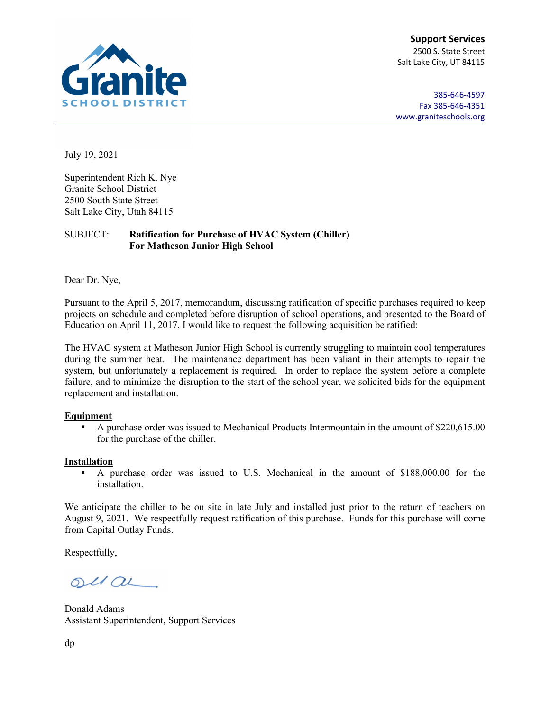

**Support Services** 2500 S. State Street Salt Lake City, UT 84115

385-646-4597 Fax 385-646-4351 [www.graniteschools.org](http://www.graniteschools.org/)

July 19, 2021

Superintendent Rich K. Nye Granite School District 2500 South State Street Salt Lake City, Utah 84115

#### SUBJECT: **Ratification for Purchase of HVAC System (Chiller) For Matheson Junior High School**

Dear Dr. Nye,

Pursuant to the April 5, 2017, memorandum, discussing ratification of specific purchases required to keep projects on schedule and completed before disruption of school operations, and presented to the Board of Education on April 11, 2017, I would like to request the following acquisition be ratified:

The HVAC system at Matheson Junior High School is currently struggling to maintain cool temperatures during the summer heat. The maintenance department has been valiant in their attempts to repair the system, but unfortunately a replacement is required. In order to replace the system before a complete failure, and to minimize the disruption to the start of the school year, we solicited bids for the equipment replacement and installation.

#### **Equipment**

A purchase order was issued to Mechanical Products Intermountain in the amount of \$220,615.00 for the purchase of the chiller.

#### **Installation**

 A purchase order was issued to U.S. Mechanical in the amount of \$188,000.00 for the installation.

We anticipate the chiller to be on site in late July and installed just prior to the return of teachers on August 9, 2021. We respectfully request ratification of this purchase. Funds for this purchase will come from Capital Outlay Funds.

Respectfully,

 $OUC$ 

Donald Adams Assistant Superintendent, Support Services